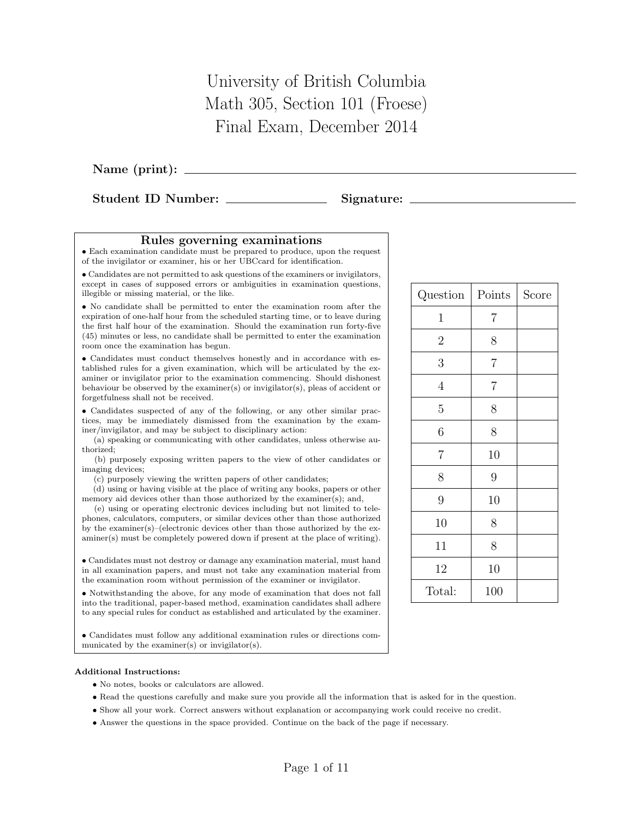University of British Columbia Math 305, Section 101 (Froese) Final Exam, December 2014

Name (print):

Student ID Number: Signature:

## Rules governing examinations

• Each examination candidate must be prepared to produce, upon the request of the invigilator or examiner, his or her UBCcard for identification.

• Candidates are not permitted to ask questions of the examiners or invigilators, except in cases of supposed errors or ambiguities in examination questions, illegible or missing material, or the like.

• No candidate shall be permitted to enter the examination room after the expiration of one-half hour from the scheduled starting time, or to leave during the first half hour of the examination. Should the examination run forty-five (45) minutes or less, no candidate shall be permitted to enter the examination room once the examination has begun.

• Candidates must conduct themselves honestly and in accordance with established rules for a given examination, which will be articulated by the examiner or invigilator prior to the examination commencing. Should dishonest behaviour be observed by the examiner(s) or invigilator(s), pleas of accident or forgetfulness shall not be received.

• Candidates suspected of any of the following, or any other similar practices, may be immediately dismissed from the examination by the examiner/invigilator, and may be subject to disciplinary action:

(a) speaking or communicating with other candidates, unless otherwise authorized;

(b) purposely exposing written papers to the view of other candidates or imaging devices;

(c) purposely viewing the written papers of other candidates;

(d) using or having visible at the place of writing any books, papers or other memory aid devices other than those authorized by the examiner(s); and,

(e) using or operating electronic devices including but not limited to telephones, calculators, computers, or similar devices other than those authorized by the examiner(s)–(electronic devices other than those authorized by the examiner(s) must be completely powered down if present at the place of writing).

• Candidates must not destroy or damage any examination material, must hand in all examination papers, and must not take any examination material from the examination room without permission of the examiner or invigilator.

• Notwithstanding the above, for any mode of examination that does not fall into the traditional, paper-based method, examination candidates shall adhere to any special rules for conduct as established and articulated by the examiner.

• Candidates must follow any additional examination rules or directions communicated by the examiner(s) or invigilator(s).

## Additional Instructions:

- No notes, books or calculators are allowed.
- Read the questions carefully and make sure you provide all the information that is asked for in the question.
- Show all your work. Correct answers without explanation or accompanying work could receive no credit.
- Answer the questions in the space provided. Continue on the back of the page if necessary.

| Question       | Points         | Score |
|----------------|----------------|-------|
| $\mathbf{1}$   | 7              |       |
| $\overline{2}$ | 8              |       |
| 3              | $\overline{7}$ |       |
| $\overline{4}$ | $\overline{7}$ |       |
| 5              | 8              |       |
| 6              | 8              |       |
| 7              | 10             |       |
| 8              | 9              |       |
| 9              | 10             |       |
| 10             | 8              |       |
| 11             | 8              |       |
| 12             | 10             |       |
| Total:         | 100            |       |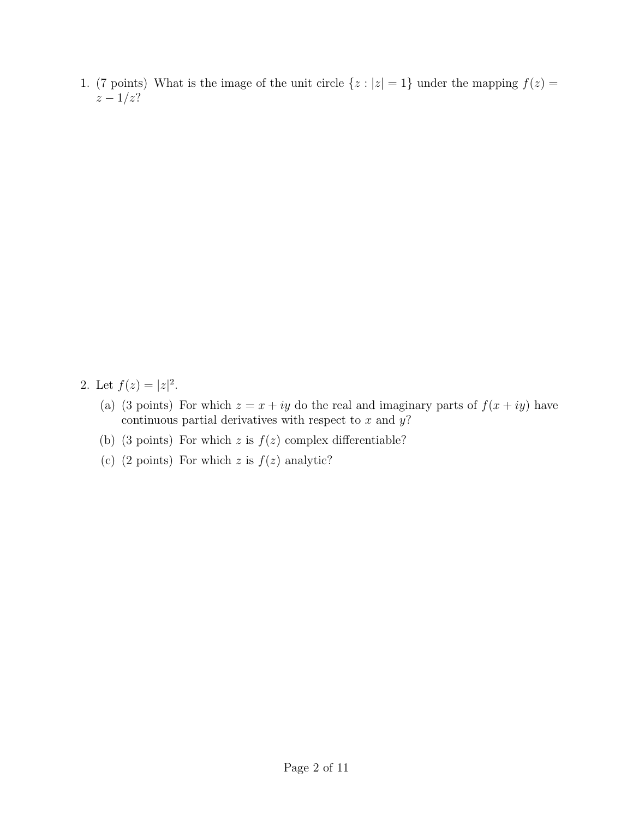1. (7 points) What is the image of the unit circle  $\{z : |z| = 1\}$  under the mapping  $f(z) =$  $z - 1/z?$ 

- 2. Let  $f(z) = |z|^2$ .
	- (a) (3 points) For which  $z = x + iy$  do the real and imaginary parts of  $f(x + iy)$  have continuous partial derivatives with respect to  $x$  and  $y$ ?
	- (b) (3 points) For which z is  $f(z)$  complex differentiable?
	- (c) (2 points) For which  $z$  is  $f(z)$  analytic?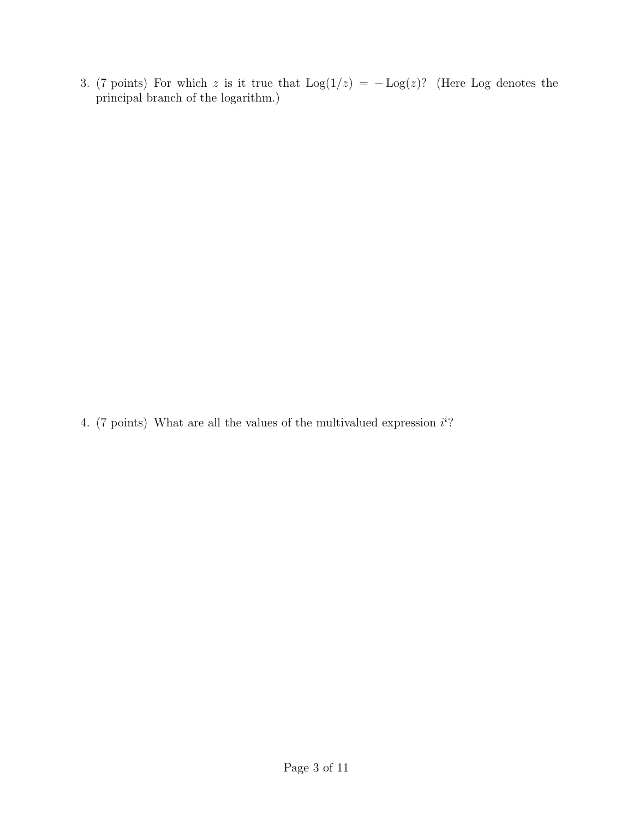3. (7 points) For which z is it true that  $\text{Log}(1/z) = -\text{Log}(z)$ ? (Here Log denotes the principal branch of the logarithm.)

4. (7 points) What are all the values of the multivalued expression  $i^{i}$ ?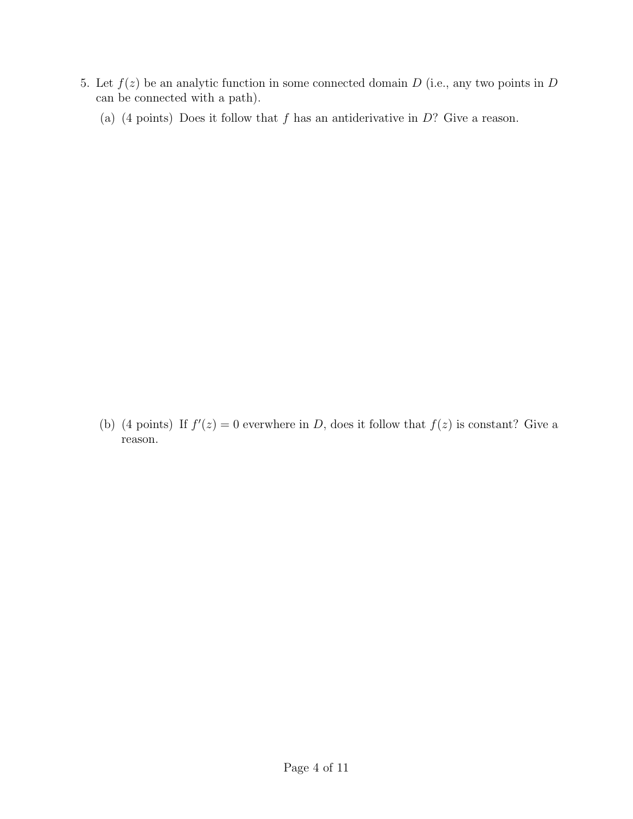- 5. Let  $f(z)$  be an analytic function in some connected domain D (i.e., any two points in D can be connected with a path).
	- (a) (4 points) Does it follow that f has an antiderivative in  $D$ ? Give a reason.

(b) (4 points) If  $f'(z) = 0$  everwhere in D, does it follow that  $f(z)$  is constant? Give a reason.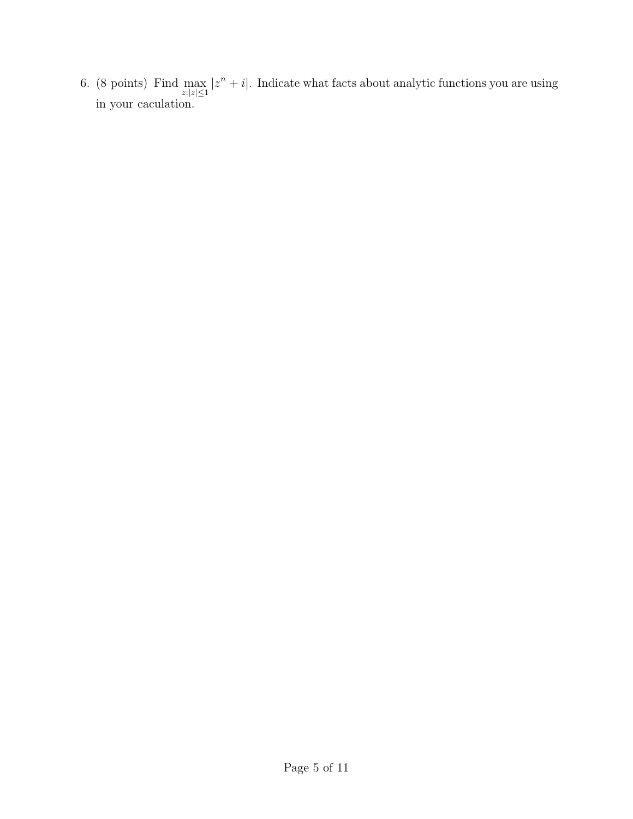6. (8 points) Find  $\max_{z:|z|\leq 1} |z^n + i|$ . Indicate what facts about analytic functions you are using in your caculation.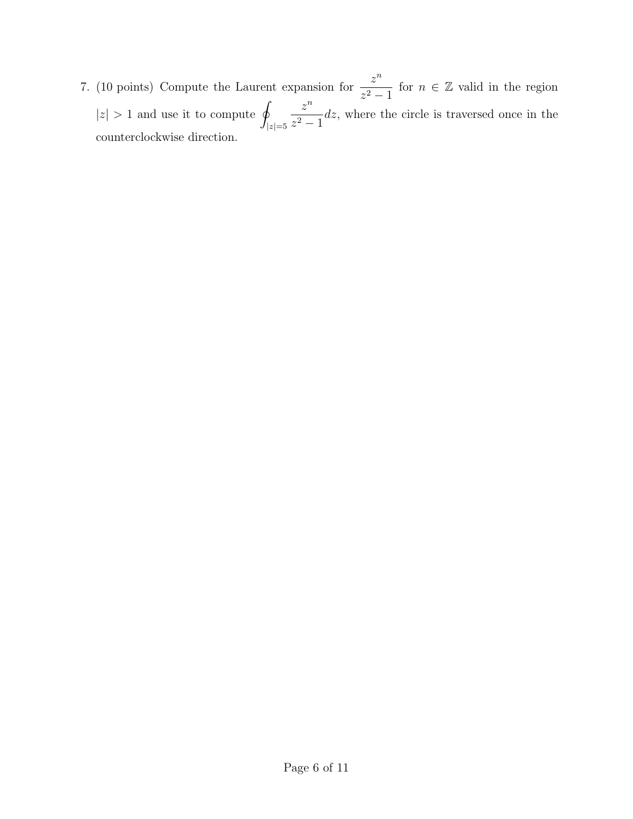7. (10 points) Compute the Laurent expansion for  $\frac{z^n}{z^n}$  $z^2-1$ for  $n \in \mathbb{Z}$  valid in the region  $|z| > 1$  and use it to compute q  $|z|=5$  $z^n$  $\frac{z}{z^2-1}$  dz, where the circle is traversed once in the counterclockwise direction.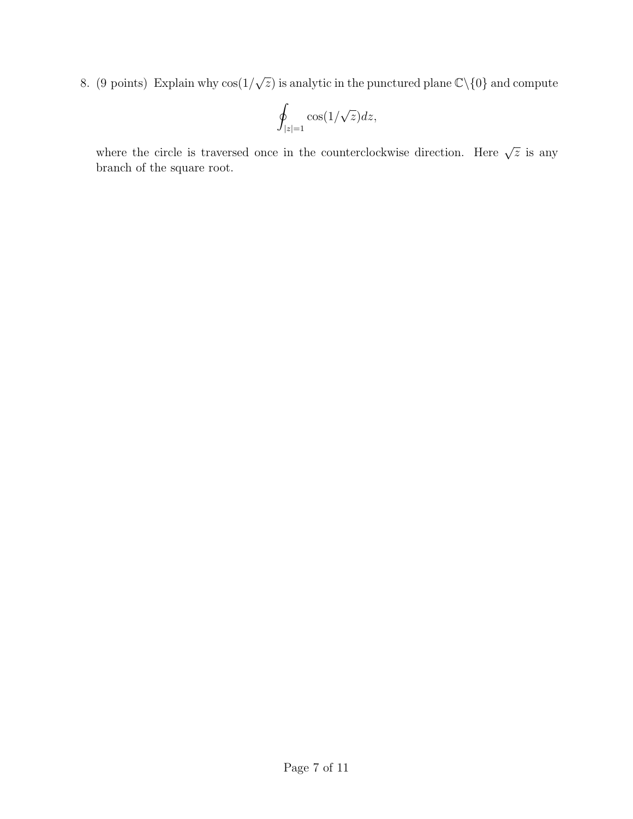8. (9 points) Explain why cos(1/  $\sqrt{z}$ ) is analytic in the punctured plane  $\mathbb{C}\backslash\{0\}$  and compute

$$
\oint_{|z|=1} \cos(1/\sqrt{z}) dz,
$$

where the circle is traversed once in the counterclockwise direction. Here  $\sqrt{z}$  is any branch of the square root.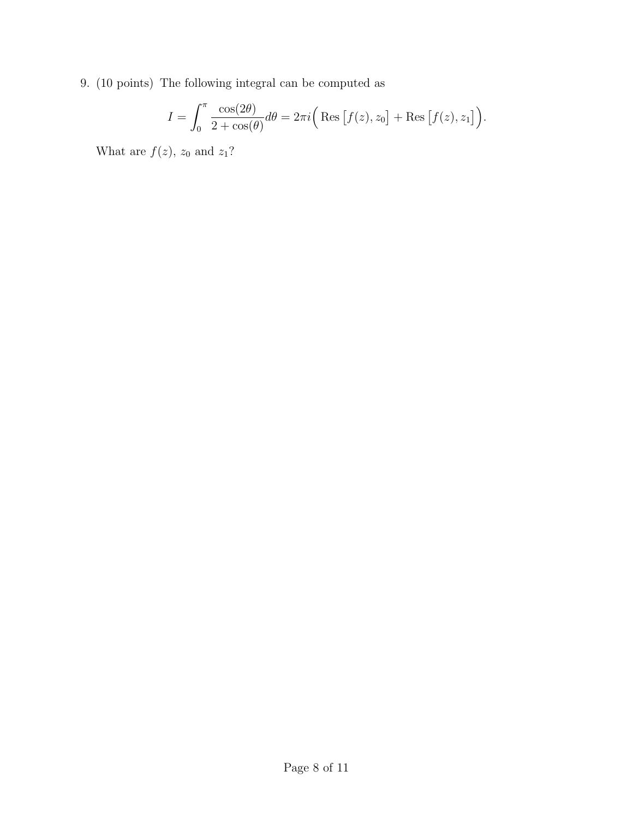9. (10 points) The following integral can be computed as

$$
I = \int_0^{\pi} \frac{\cos(2\theta)}{2 + \cos(\theta)} d\theta = 2\pi i \left( \text{Res} \left[ f(z), z_0 \right] + \text{Res} \left[ f(z), z_1 \right] \right).
$$

What are  $f(z)$ ,  $z_0$  and  $z_1$ ?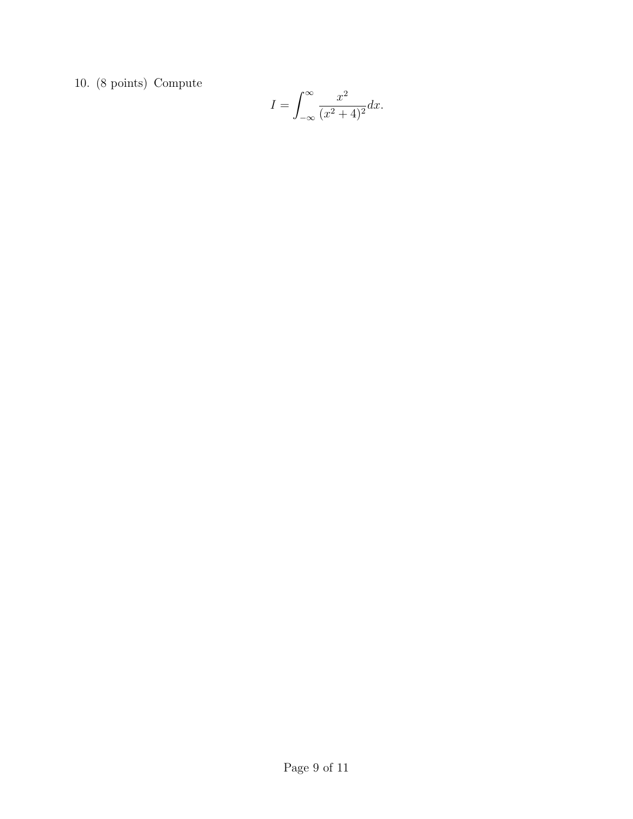10. (8 points) Compute

$$
I = \int_{-\infty}^{\infty} \frac{x^2}{(x^2 + 4)^2} dx.
$$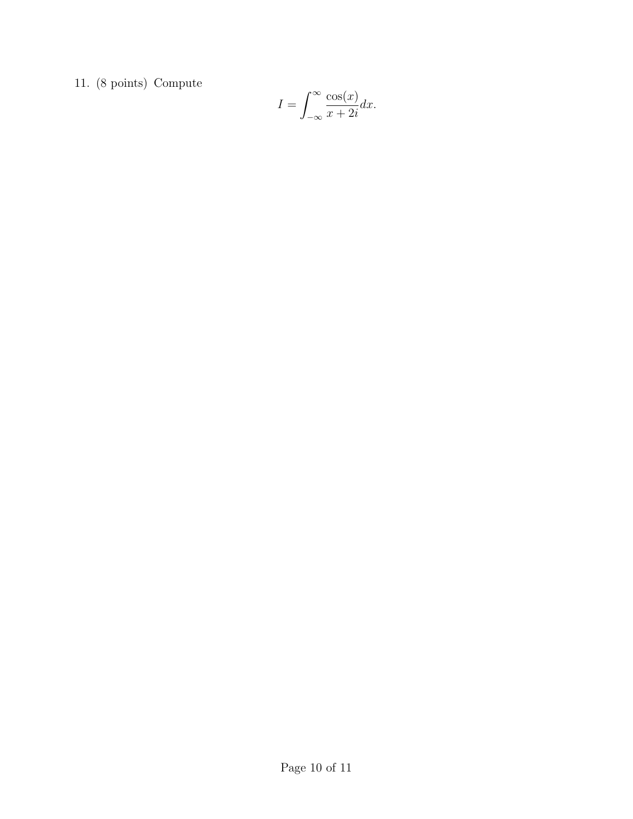11. (8 points) Compute

$$
I = \int_{-\infty}^{\infty} \frac{\cos(x)}{x + 2i} dx.
$$